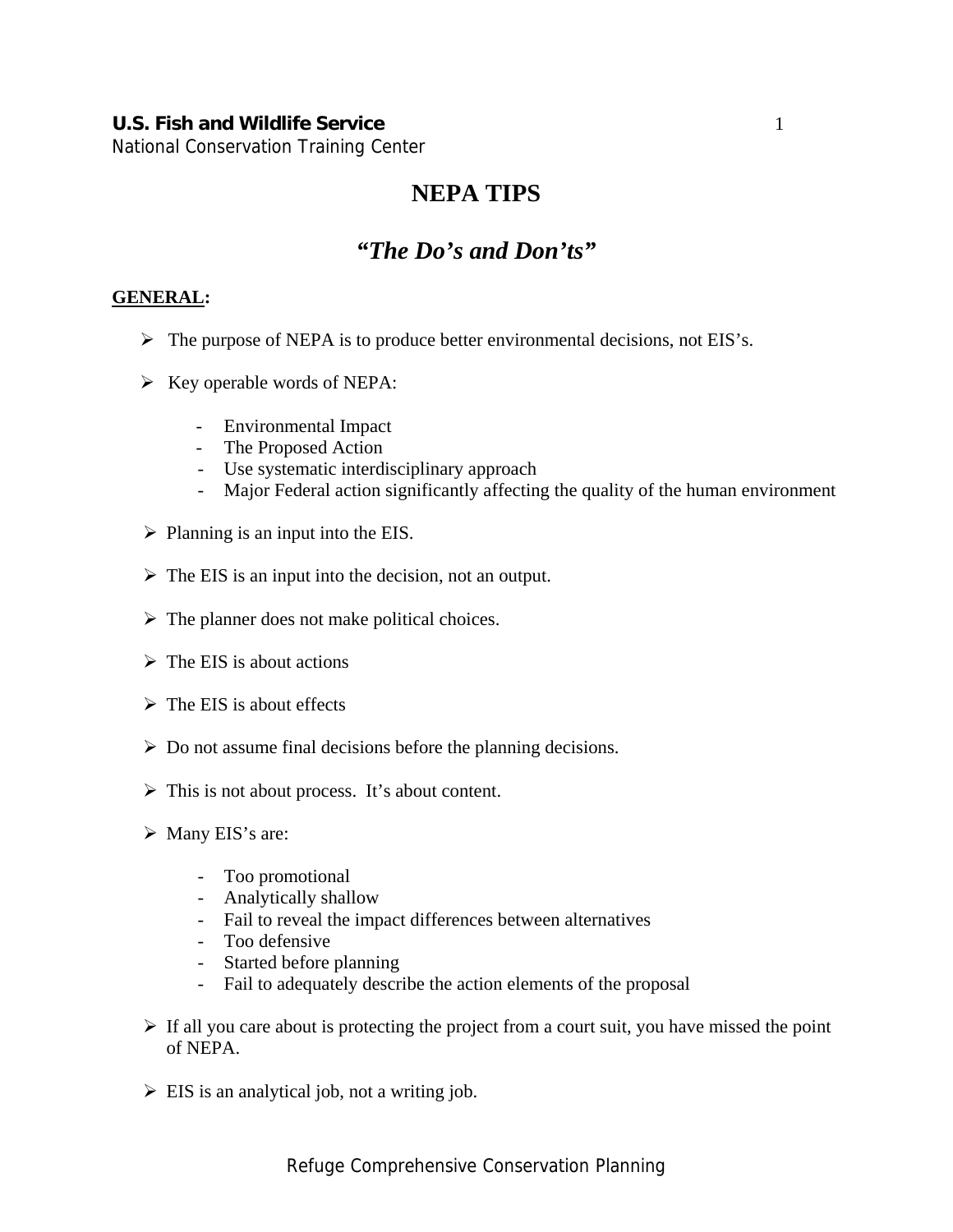## **U.S. Fish and Wildlife Service 1**

National Conservation Training Center

# **NEPA TIPS**

# *"The Do's and Don'ts"*

#### **GENERAL:**

- $\triangleright$  The purpose of NEPA is to produce better environmental decisions, not EIS's.
- $\triangleright$  Key operable words of NEPA:
	- Environmental Impact
	- The Proposed Action
	- Use systematic interdisciplinary approach
	- Major Federal action significantly affecting the quality of the human environment
- $\triangleright$  Planning is an input into the EIS.
- $\triangleright$  The EIS is an input into the decision, not an output.
- $\triangleright$  The planner does not make political choices.
- $\triangleright$  The EIS is about actions
- $\triangleright$  The EIS is about effects
- $\triangleright$  Do not assume final decisions before the planning decisions.
- $\triangleright$  This is not about process. It's about content.
- $\triangleright$  Many EIS's are:
	- Too promotional
	- Analytically shallow
	- Fail to reveal the impact differences between alternatives
	- Too defensive
	- Started before planning
	- Fail to adequately describe the action elements of the proposal
- $\triangleright$  If all you care about is protecting the project from a court suit, you have missed the point of NEPA.
- $\triangleright$  EIS is an analytical job, not a writing job.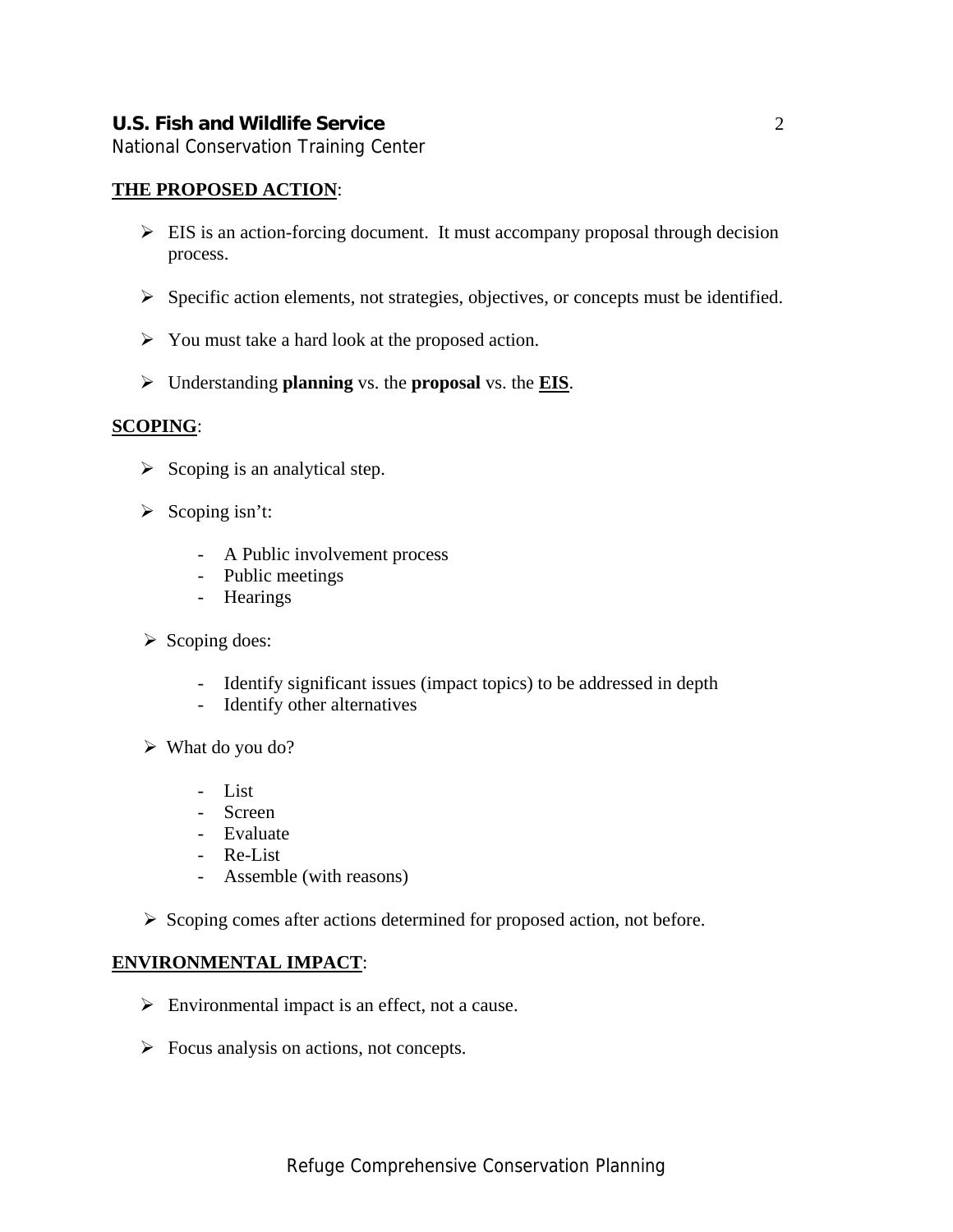National Conservation Training Center

### **THE PROPOSED ACTION**:

- $\triangleright$  EIS is an action-forcing document. It must accompany proposal through decision process.
- $\triangleright$  Specific action elements, not strategies, objectives, or concepts must be identified.
- $\triangleright$  You must take a hard look at the proposed action.
- ¾ Understanding **planning** vs. the **proposal** vs. the **EIS**.

#### **SCOPING**:

- $\triangleright$  Scoping is an analytical step.
- $\triangleright$  Scoping isn't:
	- A Public involvement process
	- Public meetings
	- Hearings
- $\triangleright$  Scoping does:
	- Identify significant issues (impact topics) to be addressed in depth
	- Identify other alternatives
- $\triangleright$  What do you do?
	- List
	- Screen
	- Evaluate
	- Re-List
	- Assemble (with reasons)
- ¾ Scoping comes after actions determined for proposed action, not before.

#### **ENVIRONMENTAL IMPACT**:

- $\triangleright$  Environmental impact is an effect, not a cause.
- $\triangleright$  Focus analysis on actions, not concepts.